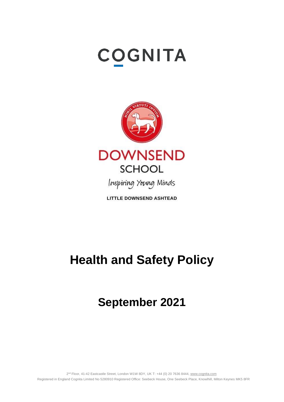# **COGNITA**



**LITTLE DOWNSEND ASHTEAD** 

# **Health and Safety Policy**

# **September 2021**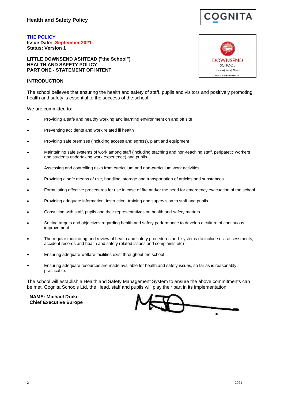

**THE POLICY Issue Date: September 2021 Status: Version 1**

**LITTLE DOWNSEND ASHTEAD ("the School") HEALTH AND SAFETY POLICY PART ONE - STATEMENT OF INTENT**

#### **INTRODUCTION**

**DOWNSEND** SCHOOL Inspiring Young Minds **I ITTI F DOWNSEND ASHTEAD** 

The school believes that ensuring the health and safety of staff, pupils and visitors and positively promoting health and safety is essential to the success of the school.

We are committed to:

- Providing a safe and healthy working and learning environment on and off site
- Preventing accidents and work related ill health
- Providing safe premises (including access and egress), plant and equipment
- Maintaining safe systems of work among staff (including teaching and non-teaching staff, peripatetic workers and students undertaking work experience) and pupils
- Assessing and controlling risks from curriculum and non-curriculum work activities
- Providing a safe means of use, handling, storage and transportation of articles and substances
- Formulating effective procedures for use in case of fire and/or the need for emergency evacuation of the school
- Providing adequate information, instruction, training and supervision to staff and pupils
- Consulting with staff, pupils and their representatives on health and safety matters
- Setting targets and objectives regarding health and safety performance to develop a culture of continuous improvement
- The regular monitoring and review of health and safety procedures and systems (to include risk assessments, accident records and health and safety related issues and complaints etc)
- Ensuring adequate welfare facilities exist throughout the school
- Ensuring adequate resources are made available for health and safety issues, so far as is reasonably practicable.

The school will establish a Health and Safety Management System to ensure the above commitments can be met. Cognita Schools Ltd, the Head, staff and pupils will play their part in its implementation.

**NAME: Michael Drake Chief Executive Europe**

ä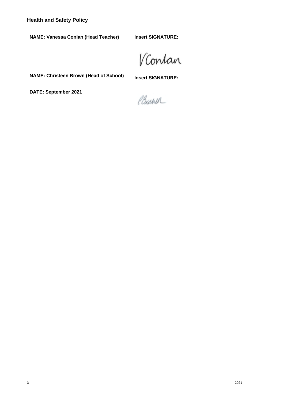**Health and Safety Policy**

**NAME: Vanessa Conlan (Head Teacher)**

**Insert SIGNATURE:**

VContan

**NAME: Christeen Brown (Head of School)**

**Insert SIGNATURE:**

**DATE: September 2021**

Brown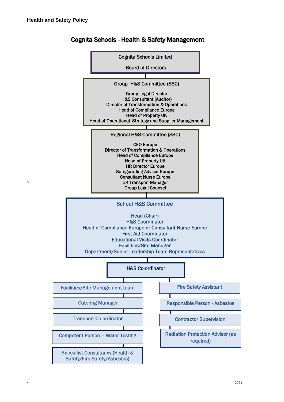**`**



# Cognita Schools - Health & Safety Management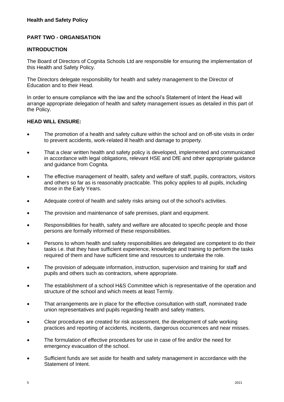## **PART TWO - ORGANISATION**

#### **INTRODUCTION**

The Board of Directors of Cognita Schools Ltd are responsible for ensuring the implementation of this Health and Safety Policy.

The Directors delegate responsibility for health and safety management to the Director of Education and to their Head.

In order to ensure compliance with the law and the school's Statement of Intent the Head will arrange appropriate delegation of health and safety management issues as detailed in this part of the Policy.

#### **HEAD WILL ENSURE:**

- The promotion of a health and safety culture within the school and on off-site visits in order to prevent accidents, work-related ill health and damage to property.
- That a clear written health and safety policy is developed, implemented and communicated in accordance with legal obligations, relevant HSE and DfE and other appropriate guidance and guidance from Cognita.
- The effective management of health, safety and welfare of staff, pupils, contractors, visitors and others so far as is reasonably practicable. This policy applies to all pupils, including those in the Early Years.
- Adequate control of health and safety risks arising out of the school's activities.
- The provision and maintenance of safe premises, plant and equipment.
- Responsibilities for health, safety and welfare are allocated to specific people and those persons are formally informed of these responsibilities.
- Persons to whom health and safety responsibilities are delegated are competent to do their tasks i.e. that they have sufficient experience, knowledge and training to perform the tasks required of them and have sufficient time and resources to undertake the role.
- The provision of adequate information, instruction, supervision and training for staff and pupils and others such as contractors, where appropriate.
- The establishment of a school H&S Committee which is representative of the operation and structure of the school and which meets at least Termly.
- That arrangements are in place for the effective consultation with staff, nominated trade union representatives and pupils regarding health and safety matters.
- Clear procedures are created for risk assessment, the development of safe working practices and reporting of accidents, incidents, dangerous occurrences and near misses.
- The formulation of effective procedures for use in case of fire and/or the need for emergency evacuation of the school.
- Sufficient funds are set aside for health and safety management in accordance with the Statement of Intent.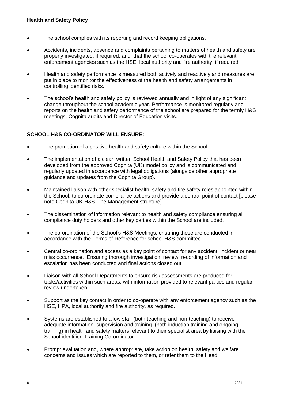- The school complies with its reporting and record keeping obligations.
- Accidents, incidents, absence and complaints pertaining to matters of health and safety are properly investigated, if required, and that the school co-operates with the relevant enforcement agencies such as the HSE, local authority and fire authority, if required.
- Health and safety performance is measured both actively and reactively and measures are put in place to monitor the effectiveness of the health and safety arrangements in controlling identified risks.
- The school's health and safety policy is reviewed annually and in light of any significant change throughout the school academic year. Performance is monitored regularly and reports on the health and safety performance of the school are prepared for the termly H&S meetings, Cognita audits and Director of Education visits.

### **SCHOOL H&S CO-ORDINATOR WILL ENSURE:**

- The promotion of a positive health and safety culture within the School.
- The implementation of a clear, written School Health and Safety Policy that has been developed from the approved Cognita (UK) model policy and is communicated and regularly updated in accordance with legal obligations (alongside other appropriate guidance and updates from the Cognita Group).
- Maintained liaison with other specialist health, safety and fire safety roles appointed within the School, to co-ordinate compliance actions and provide a central point of contact [please note Cognita UK H&S Line Management structure].
- The dissemination of information relevant to health and safety compliance ensuring all compliance duty holders and other key parties within the School are included.
- The co-ordination of the School's H&S Meetings, ensuring these are conducted in accordance with the Terms of Reference for school H&S committee.
- Central co-ordination and access as a key point of contact for any accident, incident or near miss occurrence. Ensuring thorough investigation, review, recording of information and escalation has been conducted and final actions closed out
- Liaison with all School Departments to ensure risk assessments are produced for tasks/activities within such areas, with information provided to relevant parties and regular review undertaken.
- Support as the key contact in order to co-operate with any enforcement agency such as the HSE, HPA, local authority and fire authority, as required.
- Systems are established to allow staff (both teaching and non-teaching) to receive adequate information, supervision and training (both induction training and ongoing training) in health and safety matters relevant to their specialist area by liaising with the School identified Training Co-ordinator.
- Prompt evaluation and, where appropriate, take action on health, safety and welfare concerns and issues which are reported to them, or refer them to the Head.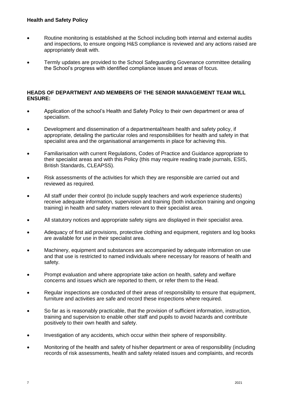#### **Health and Safety Policy**

- Routine monitoring is established at the School including both internal and external audits and inspections, to ensure ongoing H&S compliance is reviewed and any actions raised are appropriately dealt with.
- Termly updates are provided to the School Safeguarding Govenance committee detailing the School's progress with identified compliance issues and areas of focus.

#### **HEADS OF DEPARTMENT AND MEMBERS OF THE SENIOR MANAGEMENT TEAM WILL ENSURE:**

- Application of the school's Health and Safety Policy to their own department or area of specialism.
- Development and dissemination of a departmental/team health and safety policy, if appropriate, detailing the particular roles and responsibilities for health and safety in that specialist area and the organisational arrangements in place for achieving this.
- Familiarisation with current Regulations, Codes of Practice and Guidance appropriate to their specialist areas and with this Policy (this may require reading trade journals, ESIS, British Standards, CLEAPSS).
- Risk assessments of the activities for which they are responsible are carried out and reviewed as required.
- All staff under their control (to include supply teachers and work experience students) receive adequate information, supervision and training (both induction training and ongoing training) in health and safety matters relevant to their specialist area.
- All statutory notices and appropriate safety signs are displayed in their specialist area.
- Adequacy of first aid provisions, protective clothing and equipment, registers and log books are available for use in their specialist area.
- Machinery, equipment and substances are accompanied by adequate information on use and that use is restricted to named individuals where necessary for reasons of health and safety.
- Prompt evaluation and where appropriate take action on health, safety and welfare concerns and issues which are reported to them, or refer them to the Head.
- Regular inspections are conducted of their areas of responsibility to ensure that equipment, furniture and activities are safe and record these inspections where required.
- So far as is reasonably practicable, that the provision of sufficient information, instruction, training and supervision to enable other staff and pupils to avoid hazards and contribute positively to their own health and safety.
- Investigation of any accidents, which occur within their sphere of responsibility.
- Monitoring of the health and safety of his/her department or area of responsibility (including records of risk assessments, health and safety related issues and complaints, and records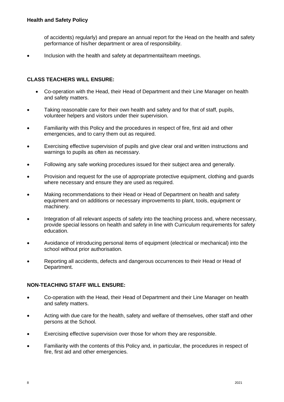of accidents) regularly) and prepare an annual report for the Head on the health and safety performance of his/her department or area of responsibility.

Inclusion with the health and safety at departmental/team meetings.

#### **CLASS TEACHERS WILL ENSURE:**

- Co-operation with the Head, their Head of Department and their Line Manager on health and safety matters.
- Taking reasonable care for their own health and safety and for that of staff, pupils, volunteer helpers and visitors under their supervision.
- Familiarity with this Policy and the procedures in respect of fire, first aid and other emergencies, and to carry them out as required.
- Exercising effective supervision of pupils and give clear oral and written instructions and warnings to pupils as often as necessary.
- Following any safe working procedures issued for their subject area and generally.
- Provision and request for the use of appropriate protective equipment, clothing and guards where necessary and ensure they are used as required.
- Making recommendations to their Head or Head of Department on health and safety equipment and on additions or necessary improvements to plant, tools, equipment or machinery.
- Integration of all relevant aspects of safety into the teaching process and, where necessary, provide special lessons on health and safety in line with Curriculum requirements for safety education.
- Avoidance of introducing personal items of equipment (electrical or mechanical) into the school without prior authorisation.
- Reporting all accidents, defects and dangerous occurrences to their Head or Head of Department.

#### **NON-TEACHING STAFF WILL ENSURE:**

- Co-operation with the Head, their Head of Department and their Line Manager on health and safety matters.
- Acting with due care for the health, safety and welfare of themselves, other staff and other persons at the School.
- Exercising effective supervision over those for whom they are responsible.
- Familiarity with the contents of this Policy and, in particular, the procedures in respect of fire, first aid and other emergencies.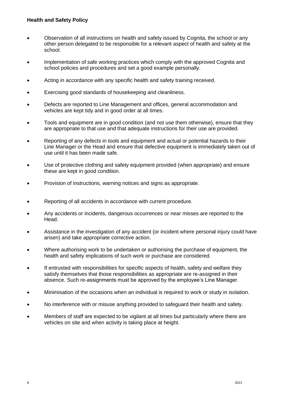- Observation of all instructions on health and safety issued by Cognita, the school or any other person delegated to be responsible for a relevant aspect of health and safety at the school.
- Implementation of safe working practices which comply with the approved Cognita and school policies and procedures and set a good example personally.
- Acting in accordance with any specific health and safety training received.
- Exercising good standards of housekeeping and cleanliness.
- Defects are reported to Line Management and offices, general accommodation and vehicles are kept tidy and in good order at all times.
- Tools and equipment are in good condition (and not use them otherwise), ensure that they are appropriate to that use and that adequate instructions for their use are provided.
- Reporting of any defects in tools and equipment and actual or potential hazards to their Line Manager or the Head and ensure that defective equipment is immediately taken out of use until it has been made safe.
- Use of protective clothing and safety equipment provided (when appropriate) and ensure these are kept in good condition.
- Provision of instructions, warning notices and signs as appropriate.
- Reporting of all accidents in accordance with current procedure.
- Any accidents or incidents, dangerous occurrences or near misses are reported to the Head.
- Assistance in the investigation of any accident (or incident where personal injury could have arisen) and take appropriate corrective action.
- Where authorising work to be undertaken or authorising the purchase of equipment, the health and safety implications of such work or purchase are considered.
- If entrusted with responsibilities for specific aspects of health, safety and welfare they satisfy themselves that those responsibilities as appropriate are re-assigned in their absence. Such re-assignments must be approved by the employee's Line Manager.
- Minimisation of the occasions when an individual is required to work or study in isolation.
- No interference with or misuse anything provided to safeguard their health and safety.
- Members of staff are expected to be vigilant at all times but particularly where there are vehicles on site and when activity is taking place at height.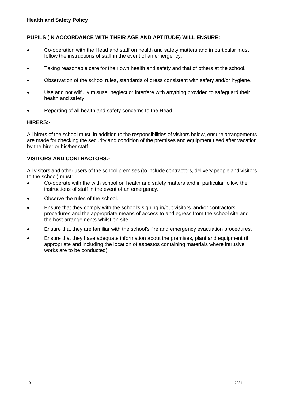#### **PUPILS (IN ACCORDANCE WITH THEIR AGE AND APTITUDE) WILL ENSURE:**

- Co-operation with the Head and staff on health and safety matters and in particular must follow the instructions of staff in the event of an emergency.
- Taking reasonable care for their own health and safety and that of others at the school.
- Observation of the school rules, standards of dress consistent with safety and/or hygiene.
- Use and not wilfully misuse, neglect or interfere with anything provided to safeguard their health and safety.
- Reporting of all health and safety concerns to the Head.

#### **HIRERS:-**

All hirers of the school must, in addition to the responsibilities of visitors below, ensure arrangements are made for checking the security and condition of the premises and equipment used after vacation by the hirer or his/her staff

#### . **VISITORS AND CONTRACTORS:-**

All visitors and other users of the school premises (to include contractors, delivery people and visitors to the school) must:

- Co-operate with the with school on health and safety matters and in particular follow the instructions of staff in the event of an emergency.
- Observe the rules of the school.
- Ensure that they comply with the school's signing-in/out visitors' and/or contractors' procedures and the appropriate means of access to and egress from the school site and the host arrangements whilst on site.
- Ensure that they are familiar with the school's fire and emergency evacuation procedures.
- Ensure that they have adequate information about the premises, plant and equipment (if appropriate and including the location of asbestos containing materials where intrusive works are to be conducted).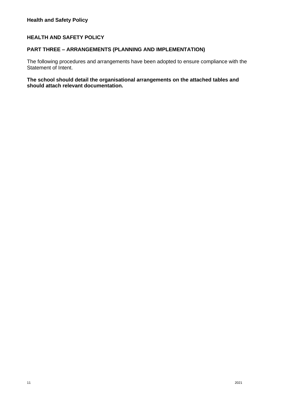#### **HEALTH AND SAFETY POLICY**

#### **PART THREE – ARRANGEMENTS (PLANNING AND IMPLEMENTATION)**

The following procedures and arrangements have been adopted to ensure compliance with the Statement of Intent.

#### **The school should detail the organisational arrangements on the attached tables and should attach relevant documentation.**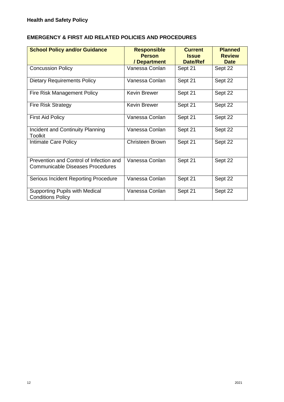# **EMERGENCY & FIRST AID RELATED POLICIES AND PROCEDURES**

| <b>School Policy and/or Guidance</b>                                               | <b>Responsible</b><br><b>Person</b><br>/ Department | <b>Current</b><br><b>Issue</b><br><b>Date/Ref</b> | <b>Planned</b><br><b>Review</b><br><b>Date</b> |
|------------------------------------------------------------------------------------|-----------------------------------------------------|---------------------------------------------------|------------------------------------------------|
| <b>Concussion Policy</b>                                                           | Vanessa Conlan                                      | Sept 21                                           | Sept 22                                        |
| <b>Dietary Requirements Policy</b>                                                 | Vanessa Conlan                                      | Sept 21                                           | Sept 22                                        |
| Fire Risk Management Policy                                                        | Kevin Brewer                                        | Sept 21                                           | Sept 22                                        |
| <b>Fire Risk Strategy</b>                                                          | <b>Kevin Brewer</b>                                 | Sept 21                                           | Sept 22                                        |
| <b>First Aid Policy</b>                                                            | Vanessa Conlan                                      | Sept 21                                           | Sept 22                                        |
| Incident and Continuity Planning<br><b>Toolkit</b>                                 | Vanessa Conlan                                      | Sept 21                                           | Sept 22                                        |
| Intimate Care Policy                                                               | <b>Christeen Brown</b>                              | Sept 21                                           | Sept 22                                        |
| Prevention and Control of Infection and<br><b>Communicable Diseases Procedures</b> | Vanessa Conlan                                      | Sept 21                                           | Sept 22                                        |
| Serious Incident Reporting Procedure                                               | Vanessa Conlan                                      | Sept 21                                           | Sept 22                                        |
| <b>Supporting Pupils with Medical</b><br><b>Conditions Policy</b>                  | Vanessa Conlan                                      | Sept 21                                           | Sept 22                                        |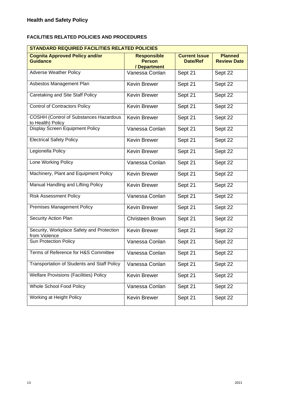### **FACILITIES RELATED POLICIES AND PROCEDURES**

| <b>STANDARD REQUIRED FACILITIES RELATED POLICIES</b>               |                                                     |                                         |                                      |
|--------------------------------------------------------------------|-----------------------------------------------------|-----------------------------------------|--------------------------------------|
| <b>Cognita Approved Policy and/or</b><br><b>Guidance</b>           | <b>Responsible</b><br><b>Person</b><br>/ Department | <b>Current Issue</b><br><b>Date/Ref</b> | <b>Planned</b><br><b>Review Date</b> |
| <b>Adverse Weather Policy</b>                                      | Vanessa Conlan                                      | Sept 21                                 | Sept 22                              |
| Asbestos Management Plan                                           | <b>Kevin Brewer</b>                                 | Sept 21                                 | Sept 22                              |
| Caretaking and Site Staff Policy                                   | <b>Kevin Brewer</b>                                 | Sept 21                                 | Sept 22                              |
| <b>Control of Contractors Policy</b>                               | <b>Kevin Brewer</b>                                 | Sept 21                                 | Sept 22                              |
| <b>COSHH (Control of Substances Hazardous</b><br>to Health) Policy | <b>Kevin Brewer</b>                                 | Sept 21                                 | Sept 22                              |
| Display Screen Equipment Policy                                    | Vanessa Conlan                                      | Sept 21                                 | Sept 22                              |
| <b>Electrical Safety Policy</b>                                    | <b>Kevin Brewer</b>                                 | Sept 21                                 | Sept 22                              |
| Legionella Policy                                                  | <b>Kevin Brewer</b>                                 | Sept 21                                 | Sept 22                              |
| Lone Working Policy                                                | Vanessa Conlan                                      | Sept 21                                 | Sept $2\overline{2}$                 |
| Machinery, Plant and Equipment Policy                              | <b>Kevin Brewer</b>                                 | Sept 21                                 | Sept 22                              |
| Manual Handling and Lifting Policy                                 | <b>Kevin Brewer</b>                                 | Sept 21                                 | Sept 22                              |
| <b>Risk Assessment Policy</b>                                      | Vanessa Conlan                                      | Sept 21                                 | Sept 22                              |
| <b>Premises Management Policy</b>                                  | Kevin Brewer                                        | Sept 21                                 | Sept 22                              |
| Security Action Plan                                               | <b>Christeen Brown</b>                              | Sept 21                                 | Sept 22                              |
| Security, Workplace Safety and Protection<br>from Violence         | Kevin Brewer                                        | Sept 21                                 | Sept 22                              |
| Sun Protection Policy                                              | Vanessa Conlan                                      | Sept 21                                 | Sept 22                              |
| Terms of Reference for H&S Committee                               | Vanessa Conlan                                      | Sept 21                                 | Sept 22                              |
| Transportation of Students and Staff Policy                        | Vanessa Conlan                                      | Sept 21                                 | Sept 22                              |
| <b>Welfare Provisions (Facilities) Policy</b>                      | Kevin Brewer                                        | Sept 21                                 | Sept 22                              |
| Whole School Food Policy                                           | Vanessa Conlan                                      | Sept 21                                 | Sept 22                              |
| Working at Height Policy                                           | Kevin Brewer                                        | Sept 21                                 | Sept 22                              |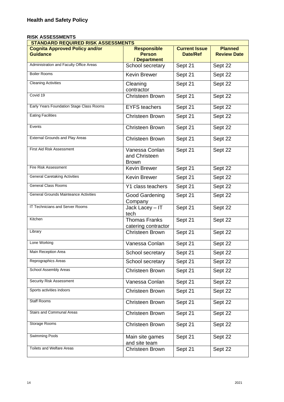#### **RISK ASSESSMENTS**

| <b>STANDARD REQUIRED RISK ASSESSMENTS</b>                |                                                 |                                         |                                      |
|----------------------------------------------------------|-------------------------------------------------|-----------------------------------------|--------------------------------------|
| <b>Cognita Approved Policy and/or</b><br><b>Guidance</b> | <b>Responsible</b><br><b>Person</b>             | <b>Current Issue</b><br><b>Date/Ref</b> | <b>Planned</b><br><b>Review Date</b> |
|                                                          | / Department                                    |                                         |                                      |
| Administration and Faculty Office Areas                  | School secretary                                | Sept 21                                 | Sept 22                              |
| <b>Boiler Rooms</b>                                      | <b>Kevin Brewer</b>                             | Sept 21                                 | Sept 22                              |
| <b>Cleaning Activities</b>                               | Cleaning<br>contractor                          | Sept 21                                 | Sept 22                              |
| Covid 19                                                 | <b>Christeen Brown</b>                          | Sept 21                                 | Sept 22                              |
| Early Years Foundation Stage Class Rooms                 | <b>EYFS</b> teachers                            | Sept 21                                 | Sept 22                              |
| <b>Eating Facilities</b>                                 | <b>Christeen Brown</b>                          | Sept 21                                 | Sept $2\overline{2}$                 |
| Events                                                   | <b>Christeen Brown</b>                          | Sept 21                                 | Sept 22                              |
| <b>External Grounds and Play Areas</b>                   | <b>Christeen Brown</b>                          | Sept 21                                 | Sept 22                              |
| First Aid Risk Assessment                                | Vanessa Conlan<br>and Christeen<br><b>Brown</b> | Sept 21                                 | Sept 22                              |
| Fire Risk Assessment                                     | <b>Kevin Brewer</b>                             | Sept 21                                 | Sept 22                              |
| <b>General Caretaking Activities</b>                     | Kevin Brewer                                    | Sept 21                                 | Sept 22                              |
| <b>General Class Rooms</b>                               | Y1 class teachers                               | Sept 21                                 | Sept 22                              |
| <b>General Grounds Mainteance Activities</b>             | Good Gardening<br>Company                       | Sept 21                                 | Sept 22                              |
| IT Technicians and Server Rooms                          | Jack Lacey - IT<br>tech                         | Sept 21                                 | Sept 22                              |
| Kitchen                                                  | <b>Thomas Franks</b><br>catering contractor     | Sept 21                                 | Sept 22                              |
| Library                                                  | <b>Christeen Brown</b>                          | Sept 21                                 | Sept 22                              |
| Lone Working                                             | Vanessa Conlan                                  | Sept 21                                 | Sept 22                              |
| Main Reception Area                                      | School secretary                                | Sept 21                                 | Sept 22                              |
| Reprographics Areas                                      | School secretary                                | Sept 21                                 | Sept 22                              |
| School Assembly Areas                                    | Christeen Brown                                 | Sept 21                                 | Sept 22                              |
| <b>Security Risk Assessment</b>                          | Vanessa Conlan                                  | Sept 21                                 | Sept 22                              |
| Sports activities indoors                                | Christeen Brown                                 | Sept 21                                 | Sept 22                              |
| <b>Staff Rooms</b>                                       | Christeen Brown                                 | Sept 21                                 | Sept 22                              |
| Stairs and Communal Areas                                | Christeen Brown                                 | Sept 21                                 | Sept 22                              |
| Storage Rooms                                            | <b>Christeen Brown</b>                          | Sept 21                                 | Sept 22                              |
| <b>Swimming Pools</b>                                    | Main site games<br>and site team                | Sept 21                                 | Sept $2\overline{2}$                 |
| <b>Toilets and Welfare Areas</b>                         | Christeen Brown                                 | Sept 21                                 | Sept 22                              |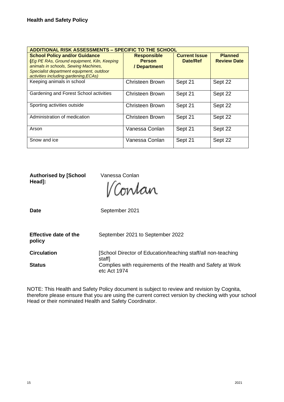| <b>ADDITIONAL RISK ASSESSMENTS - SPECIFIC TO THE SCHOOL</b>                                                                                                                                                      |                                                     |                                  |                                      |
|------------------------------------------------------------------------------------------------------------------------------------------------------------------------------------------------------------------|-----------------------------------------------------|----------------------------------|--------------------------------------|
| <b>School Policy and/or Guidance</b><br>(Eg PE RAs, Ground equipment, Kiln, Keeping<br>animals in schools, Sewing Machines,<br>Specialist department equipment, outdoor<br>activities including gardening, ECAs) | <b>Responsible</b><br><b>Person</b><br>/ Department | <b>Current Issue</b><br>Date/Ref | <b>Planned</b><br><b>Review Date</b> |
| Keeping animals in school                                                                                                                                                                                        | Christeen Brown                                     | Sept 21                          | Sept 22                              |
| Gardening and Forest School activities                                                                                                                                                                           | Christeen Brown                                     | Sept 21                          | Sept 22                              |
| Sporting activities outside                                                                                                                                                                                      | Christeen Brown                                     | Sept 21                          | Sept 22                              |
| Administration of medication                                                                                                                                                                                     | Christeen Brown                                     | Sept 21                          | Sept 22                              |
| Arson                                                                                                                                                                                                            | Vanessa Conlan                                      | Sept 21                          | Sept 22                              |
| Snow and ice                                                                                                                                                                                                     | Vanessa Conlan                                      | Sept 21                          | Sept 22                              |

**Authorised by [School Head]:**

Vanessa Conlan

Contan

Date **Date** September 2021

| <b>Effective date of the</b><br>policy | September 2021 to September 2022                                            |
|----------------------------------------|-----------------------------------------------------------------------------|
| <b>Circulation</b>                     | [School Director of Education/teaching staff/all non-teaching<br>staff]     |
| <b>Status</b>                          | Complies with requirements of the Health and Safety at Work<br>etc Act 1974 |

NOTE: This Health and Safety Policy document is subject to review and revision by Cognita, therefore please ensure that you are using the current correct version by checking with your school Head or their nominated Health and Safety Coordinator.